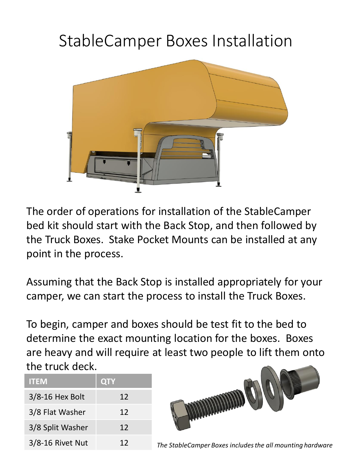## StableCamper Boxes Installation



The order of operations for installation of the StableCamper bed kit should start with the Back Stop, and then followed by the Truck Boxes. Stake Pocket Mounts can be installed at any point in the process.

Assuming that the Back Stop is installed appropriately for your camper, we can start the process to install the Truck Boxes.

To begin, camper and boxes should be test fit to the bed to determine the exact mounting location for the boxes. Boxes are heavy and will require at least two people to lift them onto the truck deck.

| <b>ITEM</b>         | <b>QTY</b> |
|---------------------|------------|
| $3/8 - 16$ Hex Bolt | 12         |
| 3/8 Flat Washer     | 12         |
| 3/8 Split Washer    | 12         |
| 3/8-16 Rivet Nut    | 12         |



3/8-16 Rivet Nut 12 *The StableCamper Boxes includes the all mounting hardware*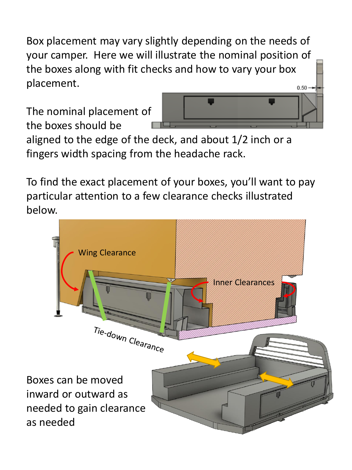Box placement may vary slightly depending on the needs of your camper. Here we will illustrate the nominal position of the boxes along with fit checks and how to vary your box placement.

The nominal placement of the boxes should be



aligned to the edge of the deck, and about 1/2 inch or a fingers width spacing from the headache rack.

To find the exact placement of your boxes, you'll want to pay particular attention to a few clearance checks illustrated below.

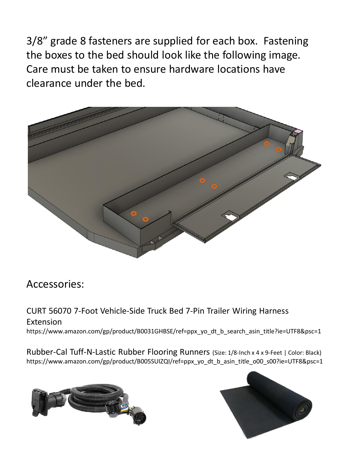3/8" grade 8 fasteners are supplied for each box. Fastening the boxes to the bed should look like the following image. Care must be taken to ensure hardware locations have clearance under the bed.



## Accessories:

CURT 56070 7-Foot Vehicle-Side Truck Bed 7-Pin Trailer Wiring Harness Extension https://www.amazon.com/gp/product/B0031GHBSE/ref=ppx\_yo\_dt\_b\_search\_asin\_title?ie=UTF8&psc=1

Rubber-Cal Tuff-N-Lastic Rubber Flooring Runners (Size: 1/8-Inch x 4 x 9-Feet | Color: Black) https://www.amazon.com/gp/product/B005SUIZQI/ref=ppx\_yo\_dt\_b\_asin\_title\_o00\_s00?ie=UTF8&psc=1



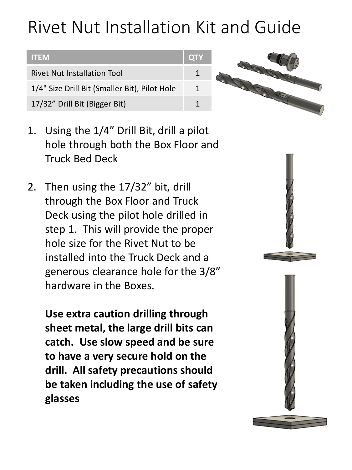## Rivet Nut Installation Kit and Guide





- 1. Using the 1/4" Drill Bit, drill a pilot hole through both the Box Floor and Truck Bed Deck
- 2. Then using the 17/32" bit, drill through the Box Floor and Truck Deck using the pilot hole drilled in step 1. This will provide the proper hole size for the Rivet Nut to be installed into the Truck Deck and a generous clearance hole for the 3/8" hardware in the Boxes.

**Use extra caution drilling through sheet metal, the large drill bits can catch. Use slow speed and be sure to have a very secure hold on the drill. All safety precautions should be taken including the use of safety glasses**